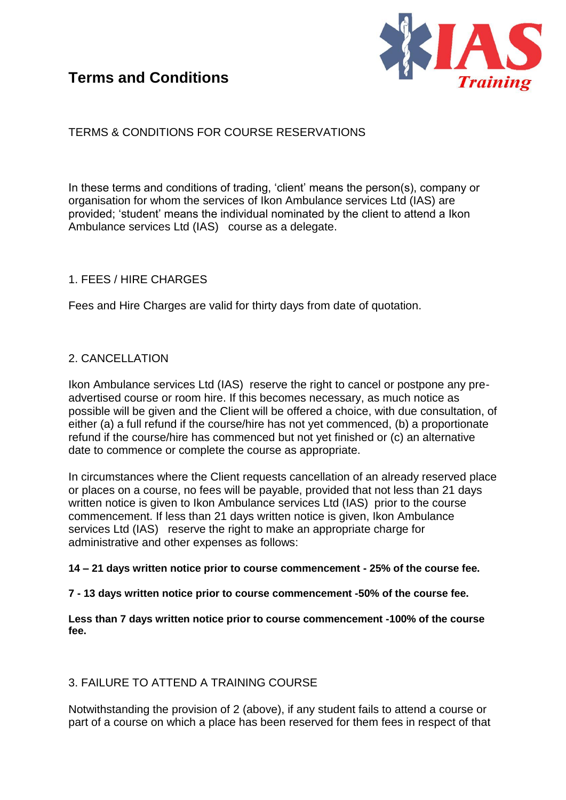

# TERMS & CONDITIONS FOR COURSE RESERVATIONS

In these terms and conditions of trading, 'client' means the person(s), company or organisation for whom the services of Ikon Ambulance services Ltd (IAS) are provided; 'student' means the individual nominated by the client to attend a Ikon Ambulance services Ltd (IAS) course as a delegate.

### 1. FEES / HIRE CHARGES

Fees and Hire Charges are valid for thirty days from date of quotation.

### 2. CANCELLATION

Ikon Ambulance services Ltd (IAS) reserve the right to cancel or postpone any preadvertised course or room hire. If this becomes necessary, as much notice as possible will be given and the Client will be offered a choice, with due consultation, of either (a) a full refund if the course/hire has not yet commenced, (b) a proportionate refund if the course/hire has commenced but not yet finished or (c) an alternative date to commence or complete the course as appropriate.

In circumstances where the Client requests cancellation of an already reserved place or places on a course, no fees will be payable, provided that not less than 21 days written notice is given to Ikon Ambulance services Ltd (IAS) prior to the course commencement. If less than 21 days written notice is given, Ikon Ambulance services Ltd (IAS) reserve the right to make an appropriate charge for administrative and other expenses as follows:

#### **14 – 21 days written notice prior to course commencement - 25% of the course fee.**

### **7 - 13 days written notice prior to course commencement -50% of the course fee.**

**Less than 7 days written notice prior to course commencement -100% of the course fee.** 

### 3. FAILURE TO ATTEND A TRAINING COURSE

Notwithstanding the provision of 2 (above), if any student fails to attend a course or part of a course on which a place has been reserved for them fees in respect of that